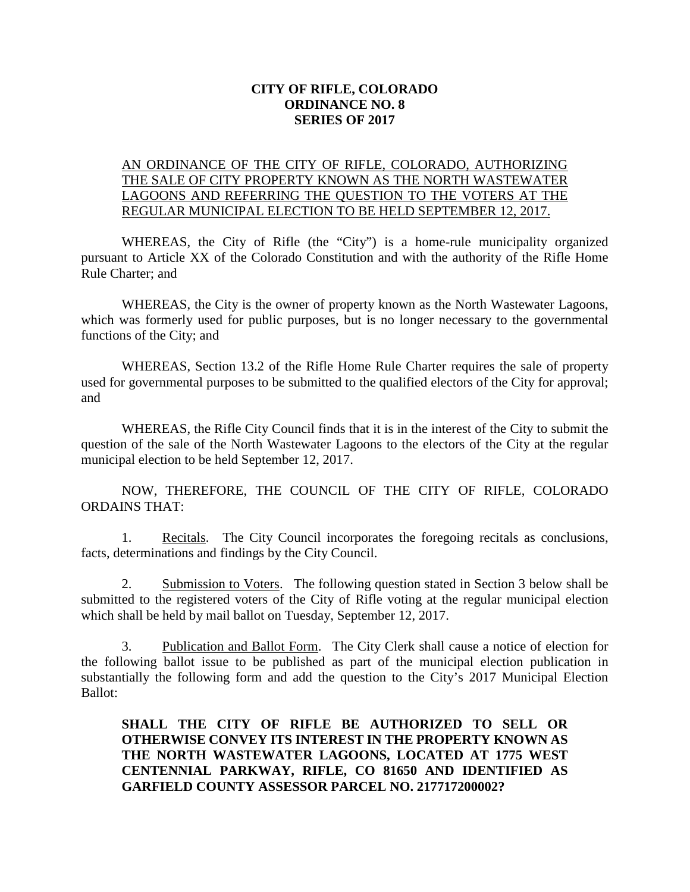## **CITY OF RIFLE, COLORADO ORDINANCE NO. 8 SERIES OF 2017**

## AN ORDINANCE OF THE CITY OF RIFLE, COLORADO, AUTHORIZING THE SALE OF CITY PROPERTY KNOWN AS THE NORTH WASTEWATER LAGOONS AND REFERRING THE QUESTION TO THE VOTERS AT THE REGULAR MUNICIPAL ELECTION TO BE HELD SEPTEMBER 12, 2017.

WHEREAS, the City of Rifle (the "City") is a home-rule municipality organized pursuant to Article XX of the Colorado Constitution and with the authority of the Rifle Home Rule Charter; and

WHEREAS, the City is the owner of property known as the North Wastewater Lagoons, which was formerly used for public purposes, but is no longer necessary to the governmental functions of the City; and

WHEREAS, Section 13.2 of the Rifle Home Rule Charter requires the sale of property used for governmental purposes to be submitted to the qualified electors of the City for approval; and

WHEREAS, the Rifle City Council finds that it is in the interest of the City to submit the question of the sale of the North Wastewater Lagoons to the electors of the City at the regular municipal election to be held September 12, 2017.

NOW, THEREFORE, THE COUNCIL OF THE CITY OF RIFLE, COLORADO ORDAINS THAT:

1. Recitals. The City Council incorporates the foregoing recitals as conclusions, facts, determinations and findings by the City Council.

2. Submission to Voters. The following question stated in Section 3 below shall be submitted to the registered voters of the City of Rifle voting at the regular municipal election which shall be held by mail ballot on Tuesday, September 12, 2017.

3. Publication and Ballot Form. The City Clerk shall cause a notice of election for the following ballot issue to be published as part of the municipal election publication in substantially the following form and add the question to the City's 2017 Municipal Election Ballot:

**SHALL THE CITY OF RIFLE BE AUTHORIZED TO SELL OR OTHERWISE CONVEY ITS INTEREST IN THE PROPERTY KNOWN AS THE NORTH WASTEWATER LAGOONS, LOCATED AT 1775 WEST CENTENNIAL PARKWAY, RIFLE, CO 81650 AND IDENTIFIED AS GARFIELD COUNTY ASSESSOR PARCEL NO. 217717200002?**